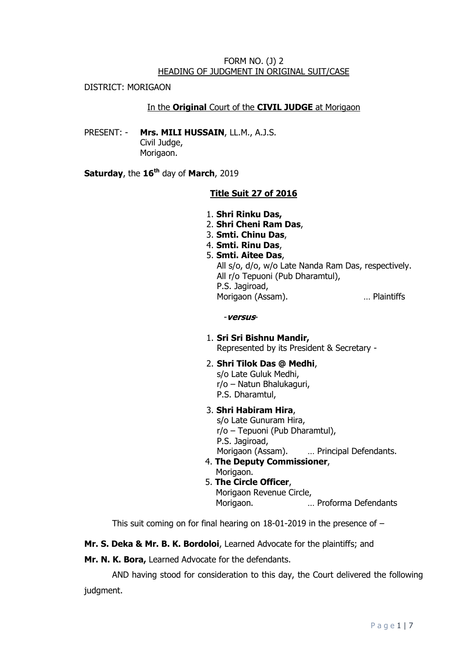### FORM NO. (J) 2 HEADING OF JUDGMENT IN ORIGINAL SUIT/CASE

DISTRICT: MORIGAON

### In the **Original** Court of the **CIVIL JUDGE** at Morigaon

PRESENT: - **Mrs. MILI HUSSAIN**, LL.M., A.J.S. Civil Judge, Morigaon.

**Saturday**, the **16th** day of **March**, 2019

# **Title Suit 27 of 2016**

- 1. **Shri Rinku Das,**
- 2. **Shri Cheni Ram Das**,
- 3. **Smti. Chinu Das**,
- 4. **Smti. Rinu Das**,
- 5. **Smti. Aitee Das**,

All s/o, d/o, w/o Late Nanda Ram Das, respectively. All r/o Tepuoni (Pub Dharamtul), P.S. Jagiroad, Morigaon (Assam). … Plaintiffs

-**versus**-

#### 1. **Sri Sri Bishnu Mandir,**

Represented by its President & Secretary -

2. **Shri Tilok Das @ Medhi**,

s/o Late Guluk Medhi, r/o – Natun Bhalukaguri, P.S. Dharamtul,

3. **Shri Habiram Hira**,

s/o Late Gunuram Hira, r/o – Tepuoni (Pub Dharamtul), P.S. Jagiroad, Morigaon (Assam). … Principal Defendants.

- 4. **The Deputy Commissioner**, Morigaon.
- 5. **The Circle Officer**,

 Morigaon Revenue Circle, Morigaon. … Proforma Defendants

This suit coming on for final hearing on 18-01-2019 in the presence of –

**Mr. S. Deka & Mr. B. K. Bordoloi**, Learned Advocate for the plaintiffs; and

**Mr. N. K. Bora,** Learned Advocate for the defendants.

AND having stood for consideration to this day, the Court delivered the following judgment.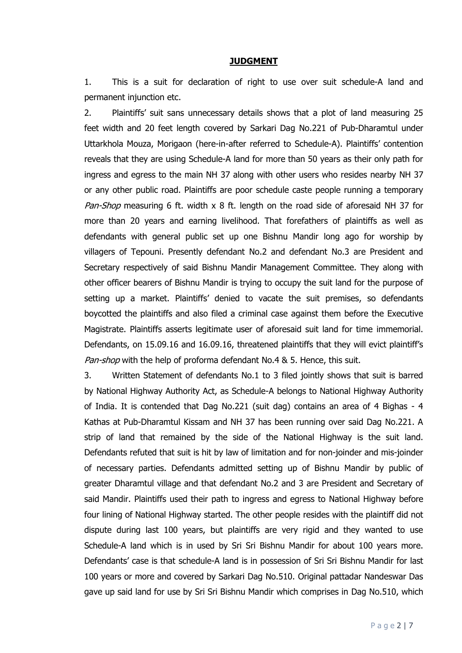#### **JUDGMENT**

1. This is a suit for declaration of right to use over suit schedule-A land and permanent injunction etc.

2. Plaintiffs' suit sans unnecessary details shows that a plot of land measuring 25 feet width and 20 feet length covered by Sarkari Dag No.221 of Pub-Dharamtul under Uttarkhola Mouza, Morigaon (here-in-after referred to Schedule-A). Plaintiffs' contention reveals that they are using Schedule-A land for more than 50 years as their only path for ingress and egress to the main NH 37 along with other users who resides nearby NH 37 or any other public road. Plaintiffs are poor schedule caste people running a temporary Pan-Shop measuring 6 ft. width x 8 ft. length on the road side of aforesaid NH 37 for more than 20 years and earning livelihood. That forefathers of plaintiffs as well as defendants with general public set up one Bishnu Mandir long ago for worship by villagers of Tepouni. Presently defendant No.2 and defendant No.3 are President and Secretary respectively of said Bishnu Mandir Management Committee. They along with other officer bearers of Bishnu Mandir is trying to occupy the suit land for the purpose of setting up a market. Plaintiffs' denied to vacate the suit premises, so defendants boycotted the plaintiffs and also filed a criminal case against them before the Executive Magistrate. Plaintiffs asserts legitimate user of aforesaid suit land for time immemorial. Defendants, on 15.09.16 and 16.09.16, threatened plaintiffs that they will evict plaintiff's Pan-shop with the help of proforma defendant No.4 & 5. Hence, this suit.

3. Written Statement of defendants No.1 to 3 filed jointly shows that suit is barred by National Highway Authority Act, as Schedule-A belongs to National Highway Authority of India. It is contended that Dag No.221 (suit dag) contains an area of 4 Bighas - 4 Kathas at Pub-Dharamtul Kissam and NH 37 has been running over said Dag No.221. A strip of land that remained by the side of the National Highway is the suit land. Defendants refuted that suit is hit by law of limitation and for non-joinder and mis-joinder of necessary parties. Defendants admitted setting up of Bishnu Mandir by public of greater Dharamtul village and that defendant No.2 and 3 are President and Secretary of said Mandir. Plaintiffs used their path to ingress and egress to National Highway before four lining of National Highway started. The other people resides with the plaintiff did not dispute during last 100 years, but plaintiffs are very rigid and they wanted to use Schedule-A land which is in used by Sri Sri Bishnu Mandir for about 100 years more. Defendants' case is that schedule-A land is in possession of Sri Sri Bishnu Mandir for last 100 years or more and covered by Sarkari Dag No.510. Original pattadar Nandeswar Das gave up said land for use by Sri Sri Bishnu Mandir which comprises in Dag No.510, which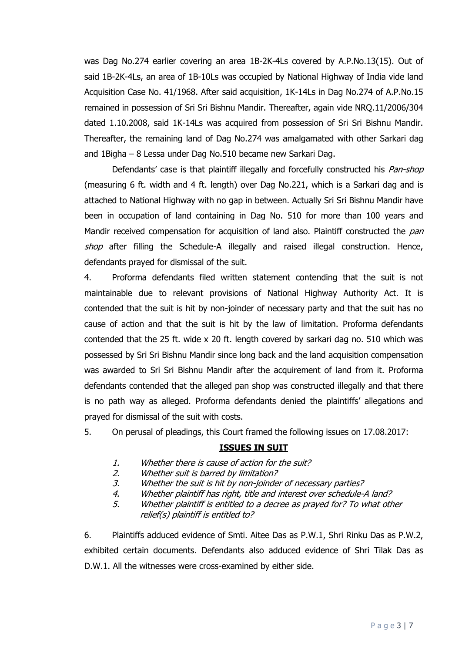was Dag No.274 earlier covering an area 1B-2K-4Ls covered by A.P.No.13(15). Out of said 1B-2K-4Ls, an area of 1B-10Ls was occupied by National Highway of India vide land Acquisition Case No. 41/1968. After said acquisition, 1K-14Ls in Dag No.274 of A.P.No.15 remained in possession of Sri Sri Bishnu Mandir. Thereafter, again vide NRQ.11/2006/304 dated 1.10.2008, said 1K-14Ls was acquired from possession of Sri Sri Bishnu Mandir. Thereafter, the remaining land of Dag No.274 was amalgamated with other Sarkari dag and 1Bigha – 8 Lessa under Dag No.510 became new Sarkari Dag.

Defendants' case is that plaintiff illegally and forcefully constructed his *Pan-shop* (measuring 6 ft. width and 4 ft. length) over Dag No.221, which is a Sarkari dag and is attached to National Highway with no gap in between. Actually Sri Sri Bishnu Mandir have been in occupation of land containing in Dag No. 510 for more than 100 years and Mandir received compensation for acquisition of land also. Plaintiff constructed the pan shop after filling the Schedule-A illegally and raised illegal construction. Hence, defendants prayed for dismissal of the suit.

4. Proforma defendants filed written statement contending that the suit is not maintainable due to relevant provisions of National Highway Authority Act. It is contended that the suit is hit by non-joinder of necessary party and that the suit has no cause of action and that the suit is hit by the law of limitation. Proforma defendants contended that the 25 ft. wide x 20 ft. length covered by sarkari dag no. 510 which was possessed by Sri Sri Bishnu Mandir since long back and the land acquisition compensation was awarded to Sri Sri Bishnu Mandir after the acquirement of land from it. Proforma defendants contended that the alleged pan shop was constructed illegally and that there is no path way as alleged. Proforma defendants denied the plaintiffs' allegations and prayed for dismissal of the suit with costs.

5. On perusal of pleadings, this Court framed the following issues on 17.08.2017:

#### **ISSUES IN SUIT**

- 1. Whether there is cause of action for the suit?
- 2. Whether suit is barred by limitation?
- 3. Whether the suit is hit by non-joinder of necessary parties?
- 4. Whether plaintiff has right, title and interest over schedule-A land?
- 5. Whether plaintiff is entitled to a decree as prayed for? To what other relief(s) plaintiff is entitled to?

6. Plaintiffs adduced evidence of Smti. Aitee Das as P.W.1, Shri Rinku Das as P.W.2, exhibited certain documents. Defendants also adduced evidence of Shri Tilak Das as D.W.1. All the witnesses were cross-examined by either side.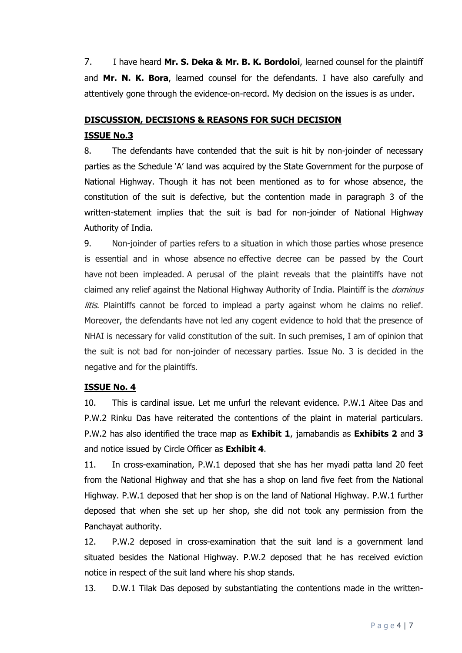7. I have heard **Mr. S. Deka & Mr. B. K. Bordoloi**, learned counsel for the plaintiff and **Mr. N. K. Bora**, learned counsel for the defendants. I have also carefully and attentively gone through the evidence-on-record. My decision on the issues is as under.

# **DISCUSSION, DECISIONS & REASONS FOR SUCH DECISION**

# **ISSUE No.3**

8. The defendants have contended that the suit is hit by non-joinder of necessary parties as the Schedule 'A' land was acquired by the State Government for the purpose of National Highway. Though it has not been mentioned as to for whose absence, the constitution of the suit is defective, but the contention made in paragraph 3 of the written-statement implies that the suit is bad for non-joinder of National Highway Authority of India.

9. Non-joinder of parties refers to a situation in which those parties whose presence is essential and in whose absence no effective decree can be passed by the Court have not been impleaded. A perusal of the plaint reveals that the plaintiffs have not claimed any relief against the National Highway Authority of India. Plaintiff is the *dominus* litis. Plaintiffs cannot be forced to implead a party against whom he claims no relief. Moreover, the defendants have not led any cogent evidence to hold that the presence of NHAI is necessary for valid constitution of the suit. In such premises, I am of opinion that the suit is not bad for non-joinder of necessary parties. Issue No. 3 is decided in the negative and for the plaintiffs.

# **ISSUE No. 4**

10. This is cardinal issue. Let me unfurl the relevant evidence. P.W.1 Aitee Das and P.W.2 Rinku Das have reiterated the contentions of the plaint in material particulars. P.W.2 has also identified the trace map as **Exhibit 1**, jamabandis as **Exhibits 2** and **3** and notice issued by Circle Officer as **Exhibit 4**.

11. In cross-examination, P.W.1 deposed that she has her myadi patta land 20 feet from the National Highway and that she has a shop on land five feet from the National Highway. P.W.1 deposed that her shop is on the land of National Highway. P.W.1 further deposed that when she set up her shop, she did not took any permission from the Panchayat authority.

12. P.W.2 deposed in cross-examination that the suit land is a government land situated besides the National Highway. P.W.2 deposed that he has received eviction notice in respect of the suit land where his shop stands.

13. D.W.1 Tilak Das deposed by substantiating the contentions made in the written-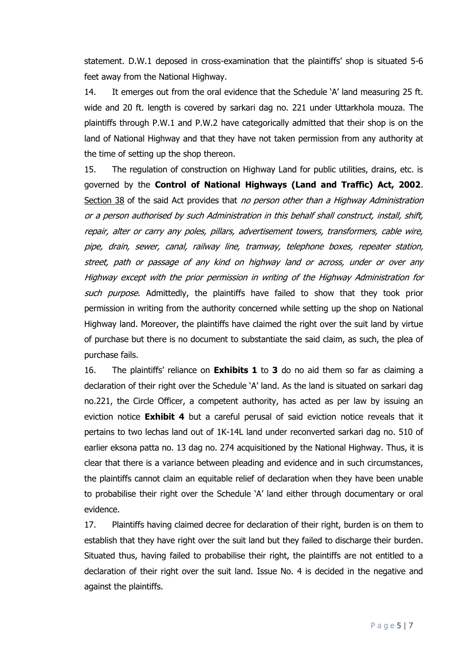statement. D.W.1 deposed in cross-examination that the plaintiffs' shop is situated 5-6 feet away from the National Highway.

14. It emerges out from the oral evidence that the Schedule 'A' land measuring 25 ft. wide and 20 ft. length is covered by sarkari dag no. 221 under Uttarkhola mouza. The plaintiffs through P.W.1 and P.W.2 have categorically admitted that their shop is on the land of National Highway and that they have not taken permission from any authority at the time of setting up the shop thereon.

15. The regulation of construction on Highway Land for public utilities, drains, etc. is governed by the **Control of National Highways (Land and Traffic) Act, 2002**. Section 38 of the said Act provides that no person other than a Highway Administration or a person authorised by such Administration in this behalf shall construct, install, shift, repair, alter or carry any poles, pillars, advertisement towers, transformers, cable wire, pipe, drain, sewer, canal, railway line, tramway, telephone boxes, repeater station, street, path or passage of any kind on highway land or across, under or over any Highway except with the prior permission in writing of the Highway Administration for such purpose. Admittedly, the plaintiffs have failed to show that they took prior permission in writing from the authority concerned while setting up the shop on National Highway land. Moreover, the plaintiffs have claimed the right over the suit land by virtue of purchase but there is no document to substantiate the said claim, as such, the plea of purchase fails.

16. The plaintiffs' reliance on **Exhibits 1** to **3** do no aid them so far as claiming a declaration of their right over the Schedule 'A' land. As the land is situated on sarkari dag no.221, the Circle Officer, a competent authority, has acted as per law by issuing an eviction notice **Exhibit 4** but a careful perusal of said eviction notice reveals that it pertains to two lechas land out of 1K-14L land under reconverted sarkari dag no. 510 of earlier eksona patta no. 13 dag no. 274 acquisitioned by the National Highway. Thus, it is clear that there is a variance between pleading and evidence and in such circumstances, the plaintiffs cannot claim an equitable relief of declaration when they have been unable to probabilise their right over the Schedule 'A' land either through documentary or oral evidence.

17. Plaintiffs having claimed decree for declaration of their right, burden is on them to establish that they have right over the suit land but they failed to discharge their burden. Situated thus, having failed to probabilise their right, the plaintiffs are not entitled to a declaration of their right over the suit land. Issue No. 4 is decided in the negative and against the plaintiffs.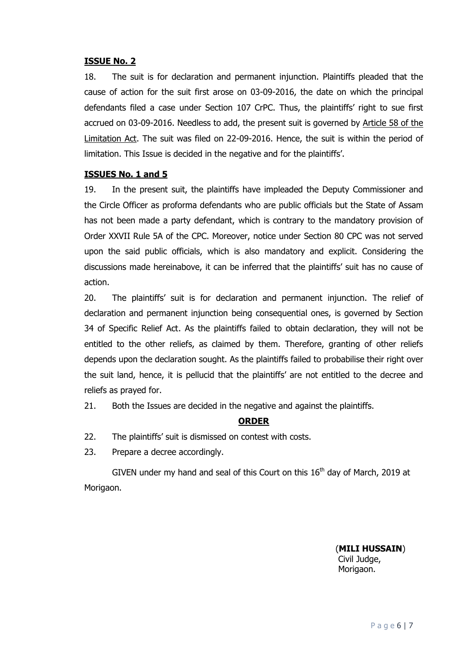### **ISSUE No. 2**

18. The suit is for declaration and permanent injunction. Plaintiffs pleaded that the cause of action for the suit first arose on 03-09-2016, the date on which the principal defendants filed a case under Section 107 CrPC. Thus, the plaintiffs' right to sue first accrued on 03-09-2016. Needless to add, the present suit is governed by Article 58 of the Limitation Act. The suit was filed on 22-09-2016. Hence, the suit is within the period of limitation. This Issue is decided in the negative and for the plaintiffs'.

# **ISSUES No. 1 and 5**

19. In the present suit, the plaintiffs have impleaded the Deputy Commissioner and the Circle Officer as proforma defendants who are public officials but the State of Assam has not been made a party defendant, which is contrary to the mandatory provision of Order XXVII Rule 5A of the CPC. Moreover, notice under Section 80 CPC was not served upon the said public officials, which is also mandatory and explicit. Considering the discussions made hereinabove, it can be inferred that the plaintiffs' suit has no cause of action.

20. The plaintiffs' suit is for declaration and permanent injunction. The relief of declaration and permanent injunction being consequential ones, is governed by Section 34 of Specific Relief Act. As the plaintiffs failed to obtain declaration, they will not be entitled to the other reliefs, as claimed by them. Therefore, granting of other reliefs depends upon the declaration sought. As the plaintiffs failed to probabilise their right over the suit land, hence, it is pellucid that the plaintiffs' are not entitled to the decree and reliefs as prayed for.

21. Both the Issues are decided in the negative and against the plaintiffs.

# **ORDER**

- 22. The plaintiffs' suit is dismissed on contest with costs.
- 23. Prepare a decree accordingly.

GIVEN under my hand and seal of this Court on this  $16<sup>th</sup>$  day of March, 2019 at Morigaon.

> (**MILI HUSSAIN**) Civil Judge, Morigaon.